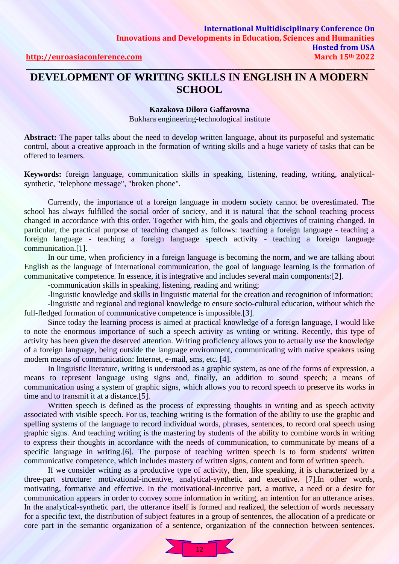### **DEVELOPMENT OF WRITING SKILLS IN ENGLISH IN A MODERN SCHOOL**

#### **Kazakova Dilora Gaffarovna**

Bukhara engineering-technological institute

**Abstract:** The paper talks about the need to develop written language, about its purposeful and systematic control, about a creative approach in the formation of writing skills and a huge variety of tasks that can be offered to learners.

**Keywords:** foreign language, communication skills in speaking, listening, reading, writing, analyticalsynthetic, "telephone message", "broken phone".

Currently, the importance of a foreign language in modern society cannot be overestimated. The school has always fulfilled the social order of society, and it is natural that the school teaching process changed in accordance with this order. Together with him, the goals and objectives of training changed. In particular, the practical purpose of teaching changed as follows: teaching a foreign language - teaching a foreign language - teaching a foreign language speech activity - teaching a foreign language communication.[1].

In our time, when proficiency in a foreign language is becoming the norm, and we are talking about English as the language of international communication, the goal of language learning is the formation of communicative competence. In essence, it is integrative and includes several main components:[2].

-communication skills in speaking, listening, reading and writing;

-linguistic knowledge and skills in linguistic material for the creation and recognition of information;

-linguistic and regional and regional knowledge to ensure socio-cultural education, without which the full-fledged formation of communicative competence is impossible.[3].

Since today the learning process is aimed at practical knowledge of a foreign language, I would like to note the enormous importance of such a speech activity as writing or writing. Recently, this type of activity has been given the deserved attention. Writing proficiency allows you to actually use the knowledge of a foreign language, being outside the language environment, communicating with native speakers using modern means of communication: Internet, e-mail, sms, etc. [4].

In linguistic literature, writing is understood as a graphic system, as one of the forms of expression, a means to represent language using signs and, finally, an addition to sound speech; a means of communication using a system of graphic signs, which allows you to record speech to preserve its works in time and to transmit it at a distance.[5].

Written speech is defined as the process of expressing thoughts in writing and as speech activity associated with visible speech. For us, teaching writing is the formation of the ability to use the graphic and spelling systems of the language to record individual words, phrases, sentences, to record oral speech using graphic signs. And teaching writing is the mastering by students of the ability to combine words in writing to express their thoughts in accordance with the needs of communication, to communicate by means of a specific language in writing.[6]. The purpose of teaching written speech is to form students' written communicative competence, which includes mastery of written signs, content and form of written speech.

If we consider writing as a productive type of activity, then, like speaking, it is characterized by a three-part structure: motivational-incentive, analytical-synthetic and executive. [7].In other words, motivating, formative and effective. In the motivational-incentive part, a motive, a need or a desire for communication appears in order to convey some information in writing, an intention for an utterance arises. In the analytical-synthetic part, the utterance itself is formed and realized, the selection of words necessary for a specific text, the distribution of subject features in a group of sentences, the allocation of a predicate or core part in the semantic organization of a sentence, organization of the connection between sentences.

 $\overline{12}$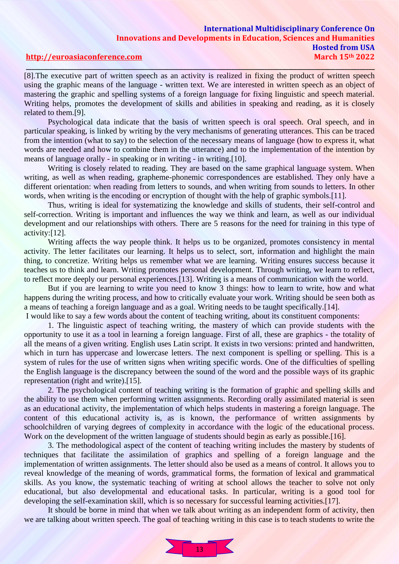### **International Multidisciplinary Conference On Innovations and Developments in Education, Sciences and Humanities Hosted from USA [http://euroasiaconference.com](http://euroasiaconference.com/) March 15th 2022**

## **\_\_\_\_\_\_\_\_\_\_\_\_\_\_\_\_\_\_\_\_\_\_\_\_\_\_\_\_\_\_\_\_\_\_\_\_\_\_\_\_\_\_\_\_\_\_\_\_\_\_\_\_\_\_\_\_\_\_\_\_\_\_\_\_\_\_\_\_\_\_\_\_\_\_\_\_\_\_\_\_\_\_\_\_\_\_\_\_\_\_\_\_\_\_\_\_\_\_\_\_\_\_\_\_\_\_\_\_\_\_\_\_\_\_\_\_\_**

[8].The executive part of written speech as an activity is realized in fixing the product of written speech using the graphic means of the language - written text. We are interested in written speech as an object of mastering the graphic and spelling systems of a foreign language for fixing linguistic and speech material. Writing helps, promotes the development of skills and abilities in speaking and reading, as it is closely related to them.[9].

Psychological data indicate that the basis of written speech is oral speech. Oral speech, and in particular speaking, is linked by writing by the very mechanisms of generating utterances. This can be traced from the intention (what to say) to the selection of the necessary means of language (how to express it, what words are needed and how to combine them in the utterance) and to the implementation of the intention by means of language orally - in speaking or in writing - in writing.[10].

Writing is closely related to reading. They are based on the same graphical language system. When writing, as well as when reading, grapheme-phonemic correspondences are established. They only have a different orientation: when reading from letters to sounds, and when writing from sounds to letters. In other words, when writing is the encoding or encryption of thought with the help of graphic symbols.[11].

Thus, writing is ideal for systematizing the knowledge and skills of students, their self-control and self-correction. Writing is important and influences the way we think and learn, as well as our individual development and our relationships with others. There are 5 reasons for the need for training in this type of activity:[12].

Writing affects the way people think. It helps us to be organized, promotes consistency in mental activity. The letter facilitates our learning. It helps us to select, sort, information and highlight the main thing, to concretize. Writing helps us remember what we are learning. Writing ensures success because it teaches us to think and learn. Writing promotes personal development. Through writing, we learn to reflect, to reflect more deeply our personal experiences.[13]. Writing is a means of communication with the world.

But if you are learning to write you need to know 3 things: how to learn to write, how and what happens during the writing process, and how to critically evaluate your work. Writing should be seen both as a means of teaching a foreign language and as a goal. Writing needs to be taught specifically.[14]. I would like to say a few words about the content of teaching writing, about its constituent components:

1. The linguistic aspect of teaching writing, the mastery of which can provide students with the opportunity to use it as a tool in learning a foreign language. First of all, these are graphics - the totality of all the means of a given writing. English uses Latin script. It exists in two versions: printed and handwritten, which in turn has uppercase and lowercase letters. The next component is spelling or spelling. This is a system of rules for the use of written signs when writing specific words. One of the difficulties of spelling the English language is the discrepancy between the sound of the word and the possible ways of its graphic representation (right and write).[15].

2. The psychological content of teaching writing is the formation of graphic and spelling skills and the ability to use them when performing written assignments. Recording orally assimilated material is seen as an educational activity, the implementation of which helps students in mastering a foreign language. The content of this educational activity is, as is known, the performance of written assignments by schoolchildren of varying degrees of complexity in accordance with the logic of the educational process. Work on the development of the written language of students should begin as early as possible. [16].

3. The methodological aspect of the content of teaching writing includes the mastery by students of techniques that facilitate the assimilation of graphics and spelling of a foreign language and the implementation of written assignments. The letter should also be used as a means of control. It allows you to reveal knowledge of the meaning of words, grammatical forms, the formation of lexical and grammatical skills. As you know, the systematic teaching of writing at school allows the teacher to solve not only educational, but also developmental and educational tasks. In particular, writing is a good tool for developing the self-examination skill, which is so necessary for successful learning activities.[17].

It should be borne in mind that when we talk about writing as an independent form of activity, then we are talking about written speech. The goal of teaching writing in this case is to teach students to write the

 $\overline{13}$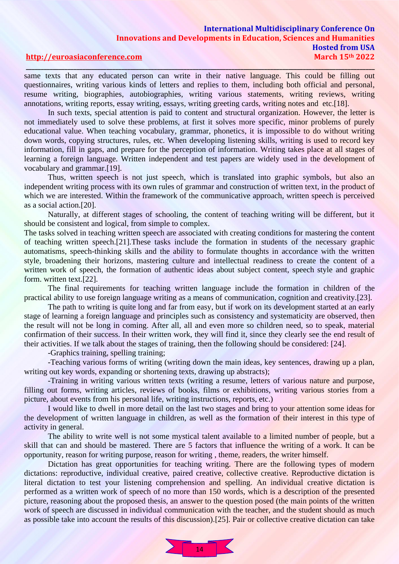### **International Multidisciplinary Conference On Innovations and Developments in Education, Sciences and Humanities Hosted from USA [http://euroasiaconference.com](http://euroasiaconference.com/) March 15th 2022**

## **\_\_\_\_\_\_\_\_\_\_\_\_\_\_\_\_\_\_\_\_\_\_\_\_\_\_\_\_\_\_\_\_\_\_\_\_\_\_\_\_\_\_\_\_\_\_\_\_\_\_\_\_\_\_\_\_\_\_\_\_\_\_\_\_\_\_\_\_\_\_\_\_\_\_\_\_\_\_\_\_\_\_\_\_\_\_\_\_\_\_\_\_\_\_\_\_\_\_\_\_\_\_\_\_\_\_\_\_\_\_\_\_\_\_\_\_\_**

same texts that any educated person can write in their native language. This could be filling out questionnaires, writing various kinds of letters and replies to them, including both official and personal, resume writing, biographies, autobiographies, writing various statements, writing reviews, writing annotations, writing reports, essay writing, essays, writing greeting cards, writing notes and etc.[18].

In such texts, special attention is paid to content and structural organization. However, the letter is not immediately used to solve these problems, at first it solves more specific, minor problems of purely educational value. When teaching vocabulary, grammar, phonetics, it is impossible to do without writing down words, copying structures, rules, etc. When developing listening skills, writing is used to record key information, fill in gaps, and prepare for the perception of information. Writing takes place at all stages of learning a foreign language. Written independent and test papers are widely used in the development of vocabulary and grammar.[19].

Thus, written speech is not just speech, which is translated into graphic symbols, but also an independent writing process with its own rules of grammar and construction of written text, in the product of which we are interested. Within the framework of the communicative approach, written speech is perceived as a social action.[20].

Naturally, at different stages of schooling, the content of teaching writing will be different, but it should be consistent and logical, from simple to complex.

The tasks solved in teaching written speech are associated with creating conditions for mastering the content of teaching written speech.[21].These tasks include the formation in students of the necessary graphic automatisms, speech-thinking skills and the ability to formulate thoughts in accordance with the written style, broadening their horizons, mastering culture and intellectual readiness to create the content of a written work of speech, the formation of authentic ideas about subject content, speech style and graphic form. written text.[22].

The final requirements for teaching written language include the formation in children of the practical ability to use foreign language writing as a means of communication, cognition and creativity.[23].

The path to writing is quite long and far from easy, but if work on its development started at an early stage of learning a foreign language and principles such as consistency and systematicity are observed, then the result will not be long in coming. After all, all and even more so children need, so to speak, material confirmation of their success. In their written work, they will find it, since they clearly see the end result of their activities. If we talk about the stages of training, then the following should be considered: [24].

-Graphics training, spelling training;

-Teaching various forms of writing (writing down the main ideas, key sentences, drawing up a plan, writing out key words, expanding or shortening texts, drawing up abstracts);

-Training in writing various written texts (writing a resume, letters of various nature and purpose, filling out forms, writing articles, reviews of books, films or exhibitions, writing various stories from a picture, about events from his personal life, writing instructions, reports, etc.)

I would like to dwell in more detail on the last two stages and bring to your attention some ideas for the development of written language in children, as well as the formation of their interest in this type of activity in general.

The ability to write well is not some mystical talent available to a limited number of people, but a skill that can and should be mastered. There are 5 factors that influence the writing of a work. It can be opportunity, reason for writing purpose, reason for writing , theme, readers, the writer himself.

Dictation has great opportunities for teaching writing. There are the following types of modern dictations: reproductive, individual creative, paired creative, collective creative. Reproductive dictation is literal dictation to test your listening comprehension and spelling. An individual creative dictation is performed as a written work of speech of no more than 150 words, which is a description of the presented picture, reasoning about the proposed thesis, an answer to the question posed (the main points of the written work of speech are discussed in individual communication with the teacher, and the student should as much as possible take into account the results of this discussion).[25]. Pair or collective creative dictation can take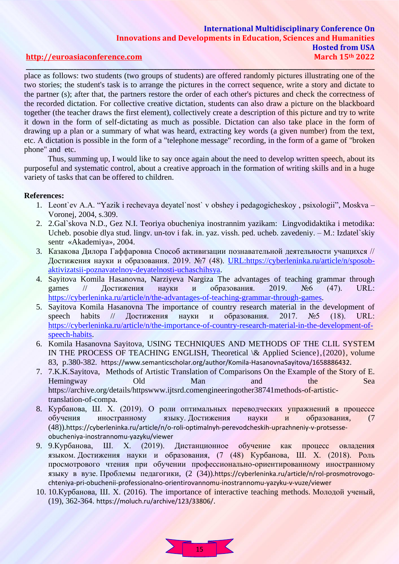### **International Multidisciplinary Conference On Innovations and Developments in Education, Sciences and Humanities Hosted from USA [http://euroasiaconference.com](http://euroasiaconference.com/) March 15th 2022**

# **\_\_\_\_\_\_\_\_\_\_\_\_\_\_\_\_\_\_\_\_\_\_\_\_\_\_\_\_\_\_\_\_\_\_\_\_\_\_\_\_\_\_\_\_\_\_\_\_\_\_\_\_\_\_\_\_\_\_\_\_\_\_\_\_\_\_\_\_\_\_\_\_\_\_\_\_\_\_\_\_\_\_\_\_\_\_\_\_\_\_\_\_\_\_\_\_\_\_\_\_\_\_\_\_\_\_\_\_\_\_\_\_\_\_\_\_\_**

place as follows: two students (two groups of students) are offered randomly pictures illustrating one of the two stories; the student's task is to arrange the pictures in the correct sequence, write a story and dictate to the partner (s); after that, the partners restore the order of each other's pictures and check the correctness of the recorded dictation. For collective creative dictation, students can also draw a picture on the blackboard together (the teacher draws the first element), collectively create a description of this picture and try to write it down in the form of self-dictating as much as possible. Dictation can also take place in the form of drawing up a plan or a summary of what was heard, extracting key words (a given number) from the text, etc. A dictation is possible in the form of a "telephone message" recording, in the form of a game of "broken phone" and etc.

Thus, summing up, I would like to say once again about the need to develop written speech, about its purposeful and systematic control, about a creative approach in the formation of writing skills and in a huge variety of tasks that can be offered to children.

### **References:**

- 1. Leont`ev A.A. "Yazik i rechevaya deyatel`nost` v obshey i pedagogicheskoy , psixologii", Moskva Voronej, 2004, s.309.
- 2. 2.Gal`skova N.D., Gez N.I. Teoriya obucheniya inostrannim yazikam: Lingvodidaktika i metodika: Ucheb. posobie dlya stud. lingv. un-tov i fak. in. yaz. vissh. ped. ucheb. zavedeniy. – M.: Izdatel`skiy sentr «Akademiya», 2004.
- 3. Казакова Дилора Гаффаровна Способ активизации познавательной деятельности учащихся // Достижения науки и образования. 2019. №7 (48). [URL:https://cyberleninka.ru/article/n/sposob](https://cyberleninka.ru/article/n/sposob-aktivizatsii-poznavatelnoy-deyatelnosti-uchaschihsya)[aktivizatsii-poznavatelnoy-deyatelnosti-uchaschihsya.](https://cyberleninka.ru/article/n/sposob-aktivizatsii-poznavatelnoy-deyatelnosti-uchaschihsya)
- 4. Sayitova Komila Hasanovna, Narziyeva Nargiza The advantages of teaching grammar through games // Достижения науки и образования. 2019. №6 (47). URL: [https://cyberleninka.ru/article/n/the-advantages-of-teaching-grammar-through-games.](https://cyberleninka.ru/article/n/the-advantages-of-teaching-grammar-through-games)
- 5. Sayitova Komila Hasanovna The importance of country research material in the development of speech habits // Достижения науки и образования. 2017.  $N\simeq$  5 (18). URL: [https://cyberleninka.ru/article/n/the-importance-of-country-research-material-in-the-development-of](https://cyberleninka.ru/article/n/the-importance-of-country-research-material-in-the-development-of-speech-habits)[speech-habits.](https://cyberleninka.ru/article/n/the-importance-of-country-research-material-in-the-development-of-speech-habits)
- 6. Komila Hasanovna Sayitova, USING TECHNIQUES AND METHODS OF THE CLIL SYSTEM IN THE PROCESS OF TEACHING ENGLISH, Theoretical \& Applied Science},{2020}, volume 83, p.380-382. <https://www.semanticscholar.org/author/Komila-HasanovnaSayitova/1658886432>.
- 7. 7.K.K.Sayitova, Methods of Artistic Translation of Comparisons On the Example of the Story of E. Hemingway Old Man and the Sea [https://archive.org/details/httpswww.ijtsrd.comengineeringother38741methods-of-artistic](https://archive.org/details/httpswww.ijtsrd.comengineeringother38741methods-of-artistic-translation-of-compa)[translation-of-compa.](https://archive.org/details/httpswww.ijtsrd.comengineeringother38741methods-of-artistic-translation-of-compa)
- 8. Курбанова, Ш. Х. (2019). О роли оптимальных переводческих упражнений в процессе обучения иностранному языку. Достижения науки и образования, (7 (48)).[https://cyberleninka.ru/article/n/o-roli-optimalnyh-perevodcheskih-uprazhneniy-v-protsesse](https://cyberleninka.ru/article/n/o-roli-optimalnyh-perevodcheskih-uprazhneniy-v-protsesse-obucheniya-inostrannomu-yazyku/viewer)[obucheniya-inostrannomu-yazyku/viewer](https://cyberleninka.ru/article/n/o-roli-optimalnyh-perevodcheskih-uprazhneniy-v-protsesse-obucheniya-inostrannomu-yazyku/viewer)
- 9. 9.Курбанова, Ш. Х. (2019). Дистанционное обучение как процесс овладения языком. Достижения науки и образования, (7 (48) Курбанова, Ш. Х. (2018). Роль просмотрового чтения при обучении профессионально-ориентированному иностранному языку в вузе. Проблемы педагогики, (2 (34)).[https://cyberleninka.ru/article/n/rol-prosmotrovogo](https://cyberleninka.ru/article/n/rol-prosmotrovogo-chteniya-pri-obuchenii-professionalno-orientirovannomu-inostrannomu-yazyku-v-vuze/viewer)[chteniya-pri-obuchenii-professionalno-orientirovannomu-inostrannomu-yazyku-v-vuze/viewer](https://cyberleninka.ru/article/n/rol-prosmotrovogo-chteniya-pri-obuchenii-professionalno-orientirovannomu-inostrannomu-yazyku-v-vuze/viewer)
- 10. 10.Курбанова, Ш. Х. (2016). The importance of interactive teaching methods. Молодой ученый, (19), 362-364. <https://moluch.ru/archive/123/33806/>.